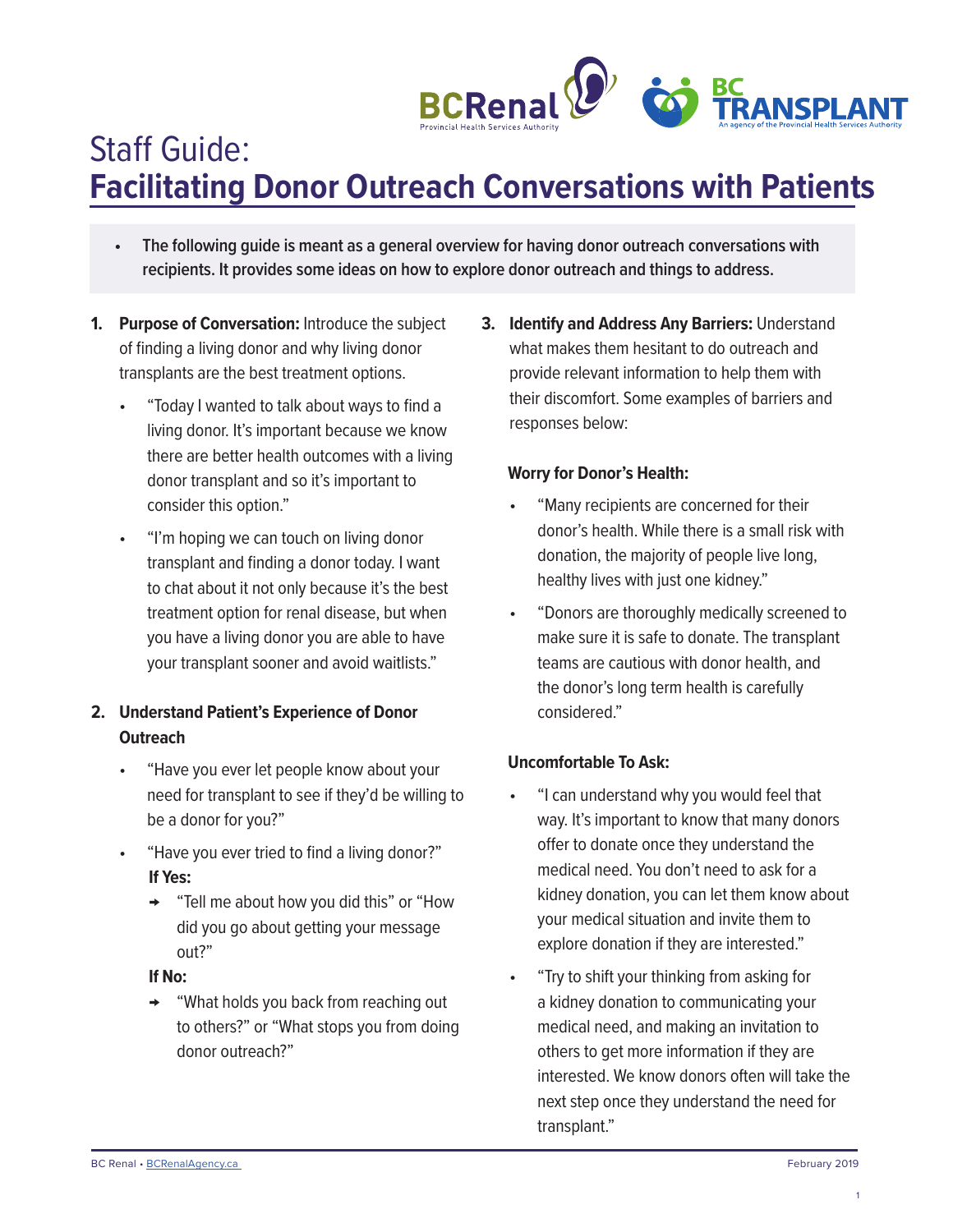

# Staff Guide: **Facilitating Donor Outreach Conversations with Patients**

- **• The following guide is meant as a general overview for having donor outreach conversations with recipients. It provides some ideas on how to explore donor outreach and things to address.**
- **1. Purpose of Conversation:** Introduce the subject of finding a living donor and why living donor transplants are the best treatment options.
	- "Today I wanted to talk about ways to find a living donor. It's important because we know there are better health outcomes with a living donor transplant and so it's important to consider this option."
	- "I'm hoping we can touch on living donor transplant and finding a donor today. I want to chat about it not only because it's the best treatment option for renal disease, but when you have a living donor you are able to have your transplant sooner and avoid waitlists."

# **2. Understand Patient's Experience of Donor Outreach**

- "Have you ever let people know about your need for transplant to see if they'd be willing to be a donor for you?"
- "Have you ever tried to find a living donor?" **If Yes:** 
	- → "Tell me about how you did this" or "How did you go about getting your message out?"

## **If No:**

→ "What holds you back from reaching out to others?" or "What stops you from doing donor outreach?"

**3. Identify and Address Any Barriers:** Understand what makes them hesitant to do outreach and provide relevant information to help them with their discomfort. Some examples of barriers and responses below:

## **Worry for Donor's Health:**

- "Many recipients are concerned for their donor's health. While there is a small risk with donation, the majority of people live long, healthy lives with just one kidney."
- "Donors are thoroughly medically screened to make sure it is safe to donate. The transplant teams are cautious with donor health, and the donor's long term health is carefully considered."

## **Uncomfortable To Ask:**

- "I can understand why you would feel that way. It's important to know that many donors offer to donate once they understand the medical need. You don't need to ask for a kidney donation, you can let them know about your medical situation and invite them to explore donation if they are interested."
- "Try to shift your thinking from asking for a kidney donation to communicating your medical need, and making an invitation to others to get more information if they are interested. We know donors often will take the next step once they understand the need for transplant."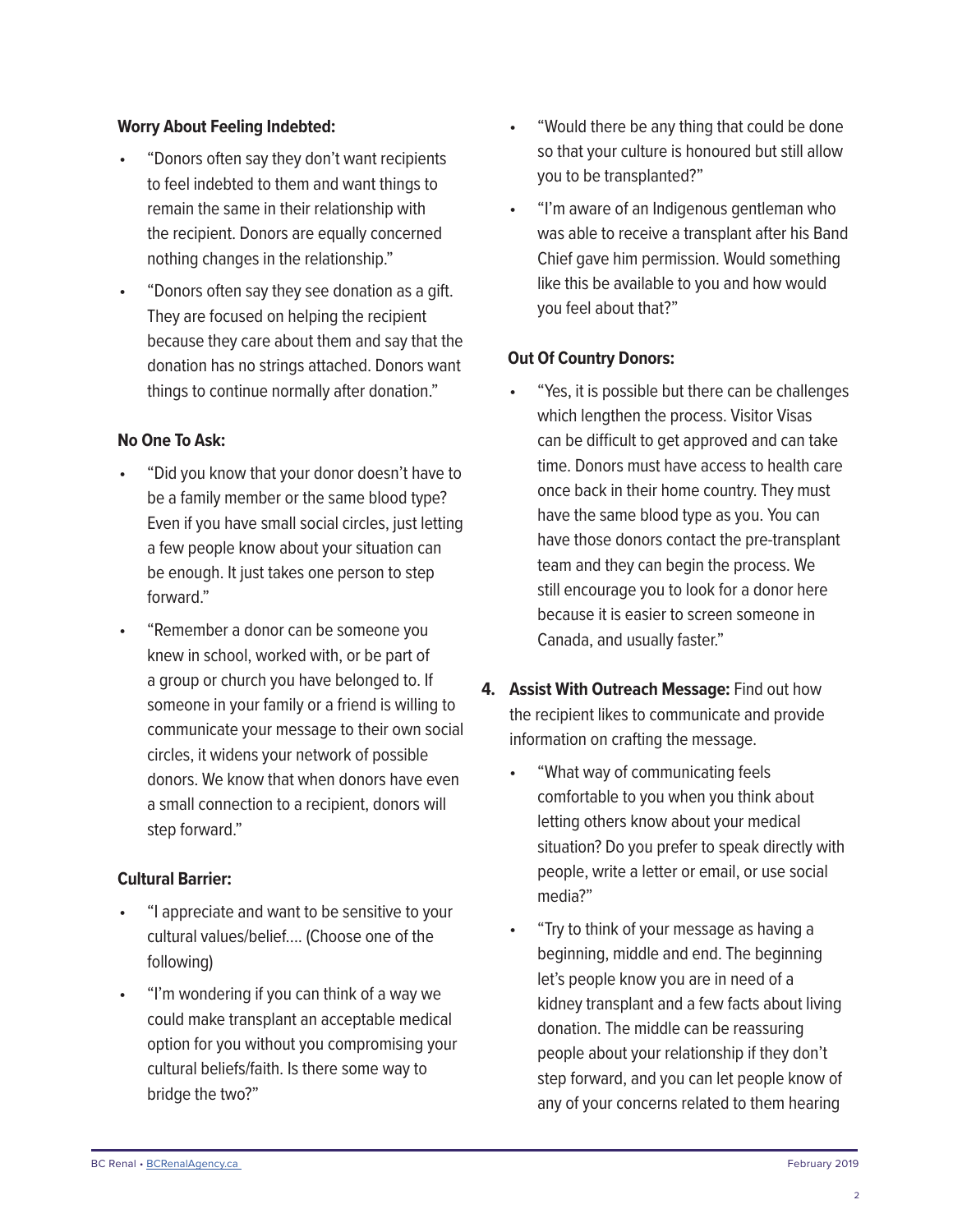#### **Worry About Feeling Indebted:**

- "Donors often say they don't want recipients to feel indebted to them and want things to remain the same in their relationship with the recipient. Donors are equally concerned nothing changes in the relationship."
- "Donors often say they see donation as a gift. They are focused on helping the recipient because they care about them and say that the donation has no strings attached. Donors want things to continue normally after donation."

#### **No One To Ask:**

- "Did you know that your donor doesn't have to be a family member or the same blood type? Even if you have small social circles, just letting a few people know about your situation can be enough. It just takes one person to step forward"
- "Remember a donor can be someone you knew in school, worked with, or be part of a group or church you have belonged to. If someone in your family or a friend is willing to communicate your message to their own social circles, it widens your network of possible donors. We know that when donors have even a small connection to a recipient, donors will step forward."

#### **Cultural Barrier:**

- "I appreciate and want to be sensitive to your cultural values/belief…. (Choose one of the following)
- "I'm wondering if you can think of a way we could make transplant an acceptable medical option for you without you compromising your cultural beliefs/faith. Is there some way to bridge the two?"
- "Would there be any thing that could be done so that your culture is honoured but still allow you to be transplanted?"
- "I'm aware of an Indigenous gentleman who was able to receive a transplant after his Band Chief gave him permission. Would something like this be available to you and how would you feel about that?"

#### **Out Of Country Donors:**

- "Yes, it is possible but there can be challenges which lengthen the process. Visitor Visas can be difficult to get approved and can take time. Donors must have access to health care once back in their home country. They must have the same blood type as you. You can have those donors contact the pre-transplant team and they can begin the process. We still encourage you to look for a donor here because it is easier to screen someone in Canada, and usually faster."
- **4. Assist With Outreach Message:** Find out how the recipient likes to communicate and provide information on crafting the message.
	- "What way of communicating feels comfortable to you when you think about letting others know about your medical situation? Do you prefer to speak directly with people, write a letter or email, or use social media?"
	- "Try to think of your message as having a beginning, middle and end. The beginning let's people know you are in need of a kidney transplant and a few facts about living donation. The middle can be reassuring people about your relationship if they don't step forward, and you can let people know of any of your concerns related to them hearing